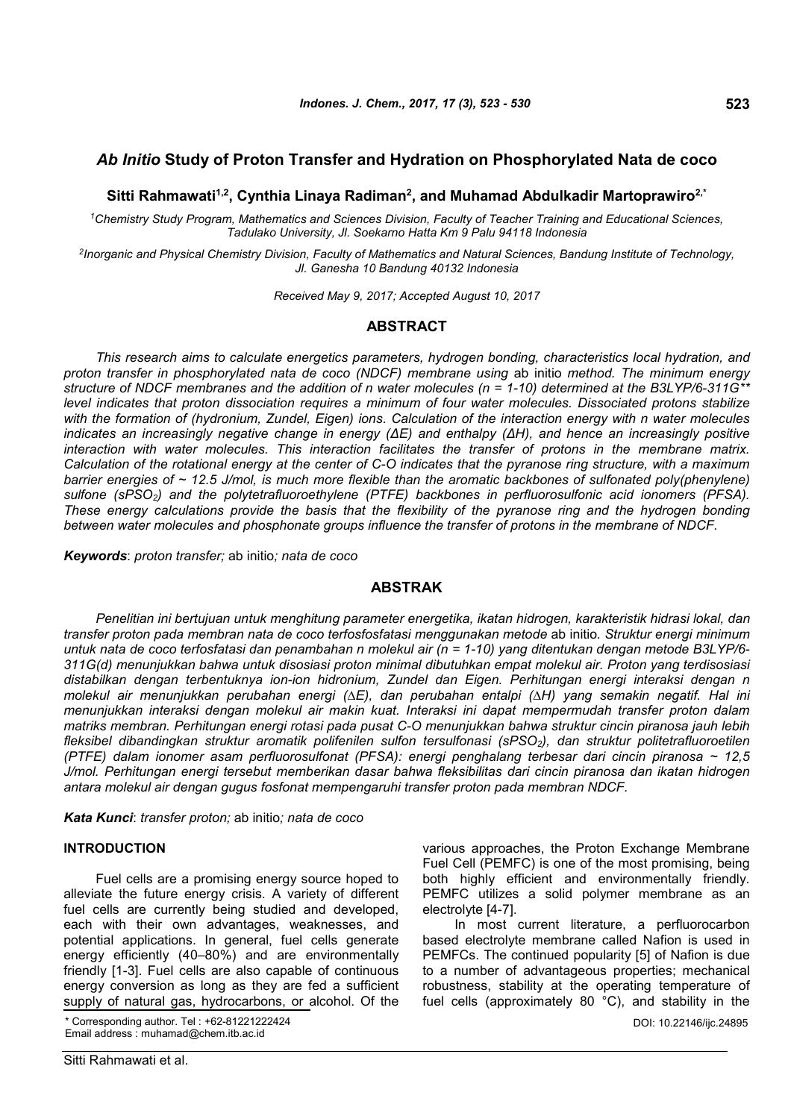# *Ab Initio* **Study of Proton Transfer and Hydration on Phosphorylated Nata de coco**

**Sitti Rahmawati1,2, Cynthia Linaya Radiman<sup>2</sup> , and Muhamad Abdulkadir Martoprawiro2,\***

*<sup>1</sup>Chemistry Study Program, Mathematics and Sciences Division, Faculty of Teacher Training and Educational Sciences, Tadulako University, Jl. Soekarno Hatta Km 9 Palu 94118 Indonesia*

*2 Inorganic and Physical Chemistry Division, Faculty of Mathematics and Natural Sciences, Bandung Institute of Technology, Jl. Ganesha 10 Bandung 40132 Indonesia*

*Received May 9, 2017; Accepted August 10, 2017*

# **ABSTRACT**

*This research aims to calculate energetics parameters, hydrogen bonding, characteristics local hydration, and proton transfer in phosphorylated nata de coco (NDCF) membrane using* ab initio *method. The minimum energy structure of NDCF membranes and the addition of n water molecules (n = 1-10) determined at the B3LYP/6-311G\*\* level indicates that proton dissociation requires a minimum of four water molecules. Dissociated protons stabilize with the formation of (hydronium, Zundel, Eigen) ions. Calculation of the interaction energy with n water molecules indicates an increasingly negative change in energy (ΔE) and enthalpy (ΔH), and hence an increasingly positive interaction with water molecules. This interaction facilitates the transfer of protons in the membrane matrix. Calculation of the rotational energy at the center of C-O indicates that the pyranose ring structure, with a maximum barrier energies of ~ 12.5 J/mol, is much more flexible than the aromatic backbones of sulfonated poly(phenylene) sulfone (sPSO2) and the polytetrafluoroethylene (PTFE) backbones in perfluorosulfonic acid ionomers (PFSA). These energy calculations provide the basis that the flexibility of the pyranose ring and the hydrogen bonding between water molecules and phosphonate groups influence the transfer of protons in the membrane of NDCF.*

*Keywords*: *proton transfer;* ab initio*; nata de coco*

## **ABSTRAK**

*Penelitian ini bertujuan untuk menghitung parameter energetika, ikatan hidrogen, karakteristik hidrasi lokal, dan transfer proton pada membran nata de coco terfosfosfatasi menggunakan metode* ab initio*. Struktur energi minimum untuk nata de coco terfosfatasi dan penambahan n molekul air (n = 1-10) yang ditentukan dengan metode B3LYP/6- 311G(d) menunjukkan bahwa untuk disosiasi proton minimal dibutuhkan empat molekul air. Proton yang terdisosiasi distabilkan dengan terbentuknya ion-ion hidronium, Zundel dan Eigen. Perhitungan energi interaksi dengan n molekul air menunjukkan perubahan energi (∆E), dan perubahan entalpi (∆H) yang semakin negatif. Hal ini menunjukkan interaksi dengan molekul air makin kuat. Interaksi ini dapat mempermudah transfer proton dalam matriks membran. Perhitungan energi rotasi pada pusat C-O menunjukkan bahwa struktur cincin piranosa jauh lebih fleksibel dibandingkan struktur aromatik polifenilen sulfon tersulfonasi (sPSO2), dan struktur politetrafluoroetilen (PTFE) dalam ionomer asam perfluorosulfonat (PFSA): energi penghalang terbesar dari cincin piranosa ~ 12,5 J/mol. Perhitungan energi tersebut memberikan dasar bahwa fleksibilitas dari cincin piranosa dan ikatan hidrogen antara molekul air dengan gugus fosfonat mempengaruhi transfer proton pada membran NDCF.*

*Kata Kunci*: *transfer proton;* ab initio*; nata de coco*

#### **INTRODUCTION**

Fuel cells are a promising energy source hoped to alleviate the future energy crisis. A variety of different fuel cells are currently being studied and developed, each with their own advantages, weaknesses, and potential applications. In general, fuel cells generate energy efficiently (40–80%) and are environmentally friendly [1-3]. Fuel cells are also capable of continuous energy conversion as long as they are fed a sufficient supply of natural gas, hydrocarbons, or alcohol. Of the

\* Corresponding author. Tel : +62-81221222424 Email address : muhamad@chem.itb.ac.id

various approaches, the Proton Exchange Membrane Fuel Cell (PEMFC) is one of the most promising, being both highly efficient and environmentally friendly. PEMFC utilizes a solid polymer membrane as an electrolyte [4-7].

In most current literature, a perfluorocarbon based electrolyte membrane called Nafion is used in PEMFCs. The continued popularity [5] of Nafion is due to a number of advantageous properties; mechanical robustness, stability at the operating temperature of fuel cells (approximately 80 °C), and stability in the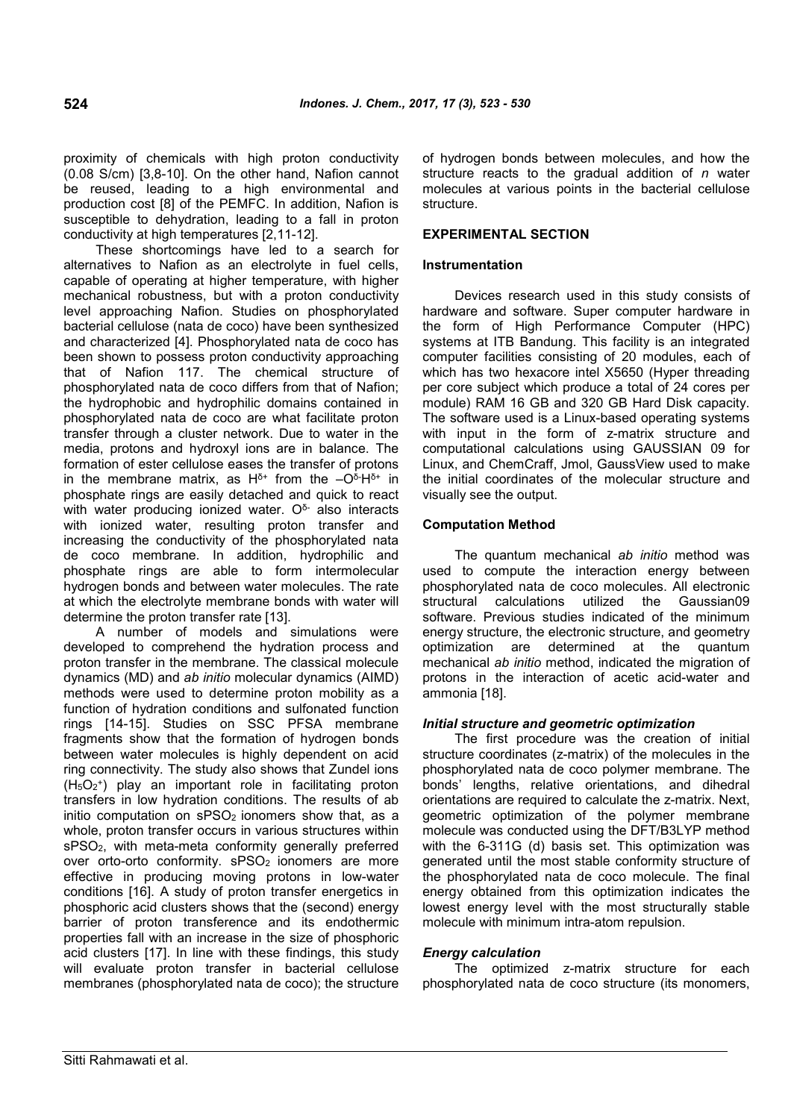proximity of chemicals with high proton conductivity (0.08 S/cm) [3,8-10]. On the other hand, Nafion cannot be reused, leading to a high environmental and production cost [8] of the PEMFC. In addition, Nafion is susceptible to dehydration, leading to a fall in proton conductivity at high temperatures [2,11-12].

These shortcomings have led to a search for alternatives to Nafion as an electrolyte in fuel cells, capable of operating at higher temperature, with higher mechanical robustness, but with a proton conductivity level approaching Nafion. Studies on phosphorylated bacterial cellulose (nata de coco) have been synthesized and characterized [4]. Phosphorylated nata de coco has been shown to possess proton conductivity approaching that of Nafion 117. The chemical structure of phosphorylated nata de coco differs from that of Nafion; the hydrophobic and hydrophilic domains contained in phosphorylated nata de coco are what facilitate proton transfer through a cluster network. Due to water in the media, protons and hydroxyl ions are in balance. The formation of ester cellulose eases the transfer of protons in the membrane matrix, as H $\delta^+$  from the  $-\mathsf{O}^5\mathsf{H}^{\delta+}$  in phosphate rings are easily detached and quick to react with water producing ionized water.  $O^{\delta}$  also interacts with ionized water, resulting proton transfer and increasing the conductivity of the phosphorylated nata de coco membrane. In addition, hydrophilic and phosphate rings are able to form intermolecular hydrogen bonds and between water molecules. The rate at which the electrolyte membrane bonds with water will determine the proton transfer rate [13].

A number of models and simulations were developed to comprehend the hydration process and proton transfer in the membrane. The classical molecule dynamics (MD) and *ab initio* molecular dynamics (AIMD) methods were used to determine proton mobility as a function of hydration conditions and sulfonated function rings [14-15]. Studies on SSC PFSA membrane fragments show that the formation of hydrogen bonds between water molecules is highly dependent on acid ring connectivity. The study also shows that Zundel ions (H5O<sup>2</sup> + ) play an important role in facilitating proton transfers in low hydration conditions. The results of ab initio computation on  $sPSO<sub>2</sub>$  ionomers show that, as a whole, proton transfer occurs in various structures within sPSO2, with meta-meta conformity generally preferred over orto-orto conformity. sPSO<sub>2</sub> ionomers are more effective in producing moving protons in low-water conditions [16]. A study of proton transfer energetics in phosphoric acid clusters shows that the (second) energy barrier of proton transference and its endothermic properties fall with an increase in the size of phosphoric acid clusters [17]. In line with these findings, this study will evaluate proton transfer in bacterial cellulose membranes (phosphorylated nata de coco); the structure of hydrogen bonds between molecules, and how the structure reacts to the gradual addition of *n* water molecules at various points in the bacterial cellulose structure.

## **EXPERIMENTAL SECTION**

## **Instrumentation**

Devices research used in this study consists of hardware and software. Super computer hardware in the form of High Performance Computer (HPC) systems at ITB Bandung. This facility is an integrated computer facilities consisting of 20 modules, each of which has two hexacore intel X5650 (Hyper threading per core subject which produce a total of 24 cores per module) RAM 16 GB and 320 GB Hard Disk capacity. The software used is a Linux-based operating systems with input in the form of z-matrix structure and computational calculations using GAUSSIAN 09 for Linux, and ChemCraff, Jmol, GaussView used to make the initial coordinates of the molecular structure and visually see the output.

## **Computation Method**

The quantum mechanical *ab initio* method was used to compute the interaction energy between phosphorylated nata de coco molecules. All electronic structural calculations utilized the Gaussian09 software. Previous studies indicated of the minimum energy structure, the electronic structure, and geometry optimization are determined at the quantum mechanical *ab initio* method, indicated the migration of protons in the interaction of acetic acid-water and ammonia [18].

## *Initial structure and geometric optimization*

The first procedure was the creation of initial structure coordinates (z-matrix) of the molecules in the phosphorylated nata de coco polymer membrane. The bonds' lengths, relative orientations, and dihedral orientations are required to calculate the z-matrix. Next, geometric optimization of the polymer membrane molecule was conducted using the DFT/B3LYP method with the 6-311G (d) basis set. This optimization was generated until the most stable conformity structure of the phosphorylated nata de coco molecule. The final energy obtained from this optimization indicates the lowest energy level with the most structurally stable molecule with minimum intra-atom repulsion.

## *Energy calculation*

The optimized z-matrix structure for each phosphorylated nata de coco structure (its monomers,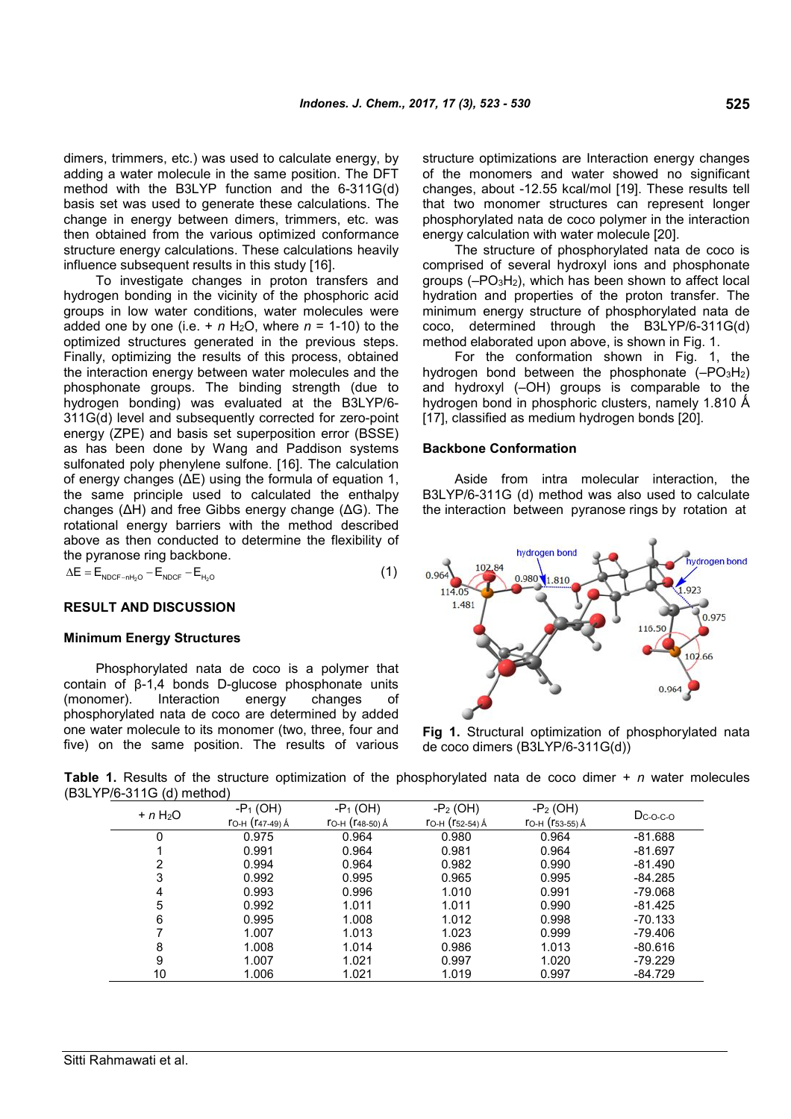dimers, trimmers, etc.) was used to calculate energy, by adding a water molecule in the same position. The DFT method with the B3LYP function and the 6-311G(d) basis set was used to generate these calculations. The change in energy between dimers, trimmers, etc. was then obtained from the various optimized conformance structure energy calculations. These calculations heavily influence subsequent results in this study [16].

To investigate changes in proton transfers and hydrogen bonding in the vicinity of the phosphoric acid groups in low water conditions, water molecules were added one by one (i.e.  $+ n$  H<sub>2</sub>O, where  $n = 1-10$ ) to the optimized structures generated in the previous steps. Finally, optimizing the results of this process, obtained the interaction energy between water molecules and the phosphonate groups. The binding strength (due to hydrogen bonding) was evaluated at the B3LYP/6- 311G(d) level and subsequently corrected for zero-point energy (ZPE) and basis set superposition error (BSSE) as has been done by Wang and Paddison systems sulfonated poly phenylene sulfone. [16]. The calculation of energy changes (ΔE) using the formula of equation 1, the same principle used to calculated the enthalpy changes (ΔH) and free Gibbs energy change (ΔG). The rotational energy barriers with the method described above as then conducted to determine the flexibility of the pyranose ring backbone.

$$
\Delta E = E_{\text{NDCF-nH}_2O} - E_{\text{NDCF}} - E_{\text{H}_2O}
$$
 (1)

#### **RESULT AND DISCUSSION**

### **Minimum Energy Structures**

Phosphorylated nata de coco is a polymer that contain of β-1,4 bonds D-glucose phosphonate units (monomer). Interaction energy changes of phosphorylated nata de coco are determined by added one water molecule to its monomer (two, three, four and five) on the same position. The results of various

structure optimizations are Interaction energy changes of the monomers and water showed no significant changes, about -12.55 kcal/mol [19]. These results tell that two monomer structures can represent longer phosphorylated nata de coco polymer in the interaction energy calculation with water molecule [20].

The structure of phosphorylated nata de coco is comprised of several hydroxyl ions and phosphonate groups (–PO3H2), which has been shown to affect local hydration and properties of the proton transfer. The minimum energy structure of phosphorylated nata de coco, determined through the B3LYP/6-311G(d) method elaborated upon above, is shown in Fig. 1.

For the conformation shown in Fig. 1, the hydrogen bond between the phosphonate  $(-PQ_3H_2)$ and hydroxyl (–OH) groups is comparable to the hydrogen bond in phosphoric clusters, namely 1.810  $\AA$ [17], classified as medium hydrogen bonds [20].

#### **Backbone Conformation**

Aside from intra molecular interaction, the B3LYP/6-311G (d) method was also used to calculate the interaction between pyranose rings by rotation at



**Fig 1.** Structural optimization of phosphorylated nata de coco dimers (B3LYP/6-311G(d))

**Table 1.** Results of the structure optimization of the phosphorylated nata de coco dimer + *n* water molecules (B3LYP/6-311G (d) method)

|           | $-P_1(OH)$        | $-P_1(OH)$      | $-P_2(OH)$          | $-P_2(OH)$      |               |  |
|-----------|-------------------|-----------------|---------------------|-----------------|---------------|--|
| $+ n H2O$ | ГО-Н $(147-49)$ Å | ГО-Н (Г48-50) Á | ГО-Н $($ Г52-54) А́ | ГО-Н (Г53-55) Á | $D_{C-O-C-O}$ |  |
| 0         | 0.975             | 0.964           | 0.980               | 0.964           | $-81.688$     |  |
|           | 0.991             | 0.964           | 0.981               | 0.964           | $-81.697$     |  |
| 2         | 0.994             | 0.964           | 0.982               | 0.990           | $-81.490$     |  |
| 3         | 0.992             | 0.995           | 0.965               | 0.995           | $-84.285$     |  |
| 4         | 0.993             | 0.996           | 1.010               | 0.991           | -79.068       |  |
| 5         | 0.992             | 1.011           | 1.011               | 0.990           | $-81.425$     |  |
| 6         | 0.995             | 1.008           | 1.012               | 0.998           | $-70.133$     |  |
|           | 1.007             | 1.013           | 1.023               | 0.999           | $-79.406$     |  |
| 8         | 1.008             | 1.014           | 0.986               | 1.013           | $-80.616$     |  |
| 9         | 1.007             | 1.021           | 0.997               | 1.020           | $-79.229$     |  |
| 10        | 1.006             | 1.021           | 1.019               | 0.997           | -84.729       |  |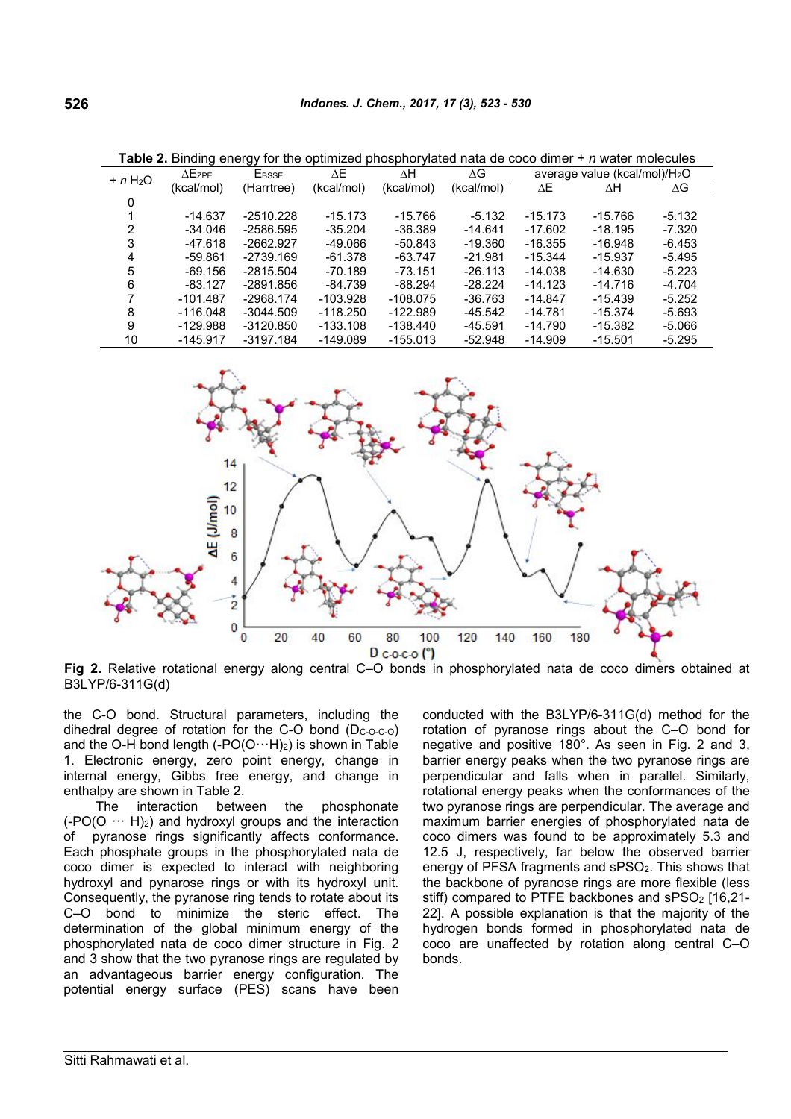| <b>TWIVE.</b> Diffully vitaly for the optimized phosphor flated hata as soos difficil<br>. <i>11 wator mologi</i> os |               |             |            |            |            |                                           |           |          |  |  |
|----------------------------------------------------------------------------------------------------------------------|---------------|-------------|------------|------------|------------|-------------------------------------------|-----------|----------|--|--|
| $+ n H2O$                                                                                                            | $\Delta$ Ezpe | EBSSE       | ΛE         | ΔН         | ΔG         | average value (kcal/mol)/H <sub>2</sub> O |           |          |  |  |
|                                                                                                                      | (kcal/mol)    | (Harrtree)  | (kcal/mol) | (kcal/mol) | (kcal/mol) | ΔΕ                                        | ΔH        | ΔG       |  |  |
| 0                                                                                                                    |               |             |            |            |            |                                           |           |          |  |  |
|                                                                                                                      | $-14.637$     | $-2510.228$ | $-15.173$  | $-15.766$  | $-5.132$   | $-15.173$                                 | $-15.766$ | $-5.132$ |  |  |
|                                                                                                                      | -34.046       | -2586.595   | $-35.204$  | $-36.389$  | $-14.641$  | $-17.602$                                 | $-18.195$ | -7.320   |  |  |
| 3                                                                                                                    | $-47.618$     | $-2662.927$ | $-49.066$  | $-50.843$  | $-19.360$  | $-16.355$                                 | $-16.948$ | $-6.453$ |  |  |
| 4                                                                                                                    | -59.861       | -2739.169   | -61.378    | $-63.747$  | $-21.981$  | $-15.344$                                 | $-15.937$ | $-5.495$ |  |  |
| 5                                                                                                                    | $-69.156$     | $-2815.504$ | $-70.189$  | $-73.151$  | $-26.113$  | $-14.038$                                 | $-14.630$ | $-5.223$ |  |  |
| 6                                                                                                                    | $-83.127$     | -2891.856   | -84.739    | $-88.294$  | $-28.224$  | $-14.123$                                 | $-14.716$ | $-4.704$ |  |  |
|                                                                                                                      | $-101.487$    | -2968.174   | $-103.928$ | $-108.075$ | $-36.763$  | $-14.847$                                 | $-15.439$ | $-5.252$ |  |  |
| 8                                                                                                                    | $-116.048$    | $-3044.509$ | $-118.250$ | $-122.989$ | $-45.542$  | $-14.781$                                 | $-15.374$ | $-5.693$ |  |  |
| 9                                                                                                                    | $-129.988$    | $-3120.850$ | $-133.108$ | $-138.440$ | $-45.591$  | $-14.790$                                 | $-15.382$ | -5.066   |  |  |
| 10                                                                                                                   | $-145.917$    | -3197.184   | $-149.089$ | $-155.013$ | $-52.948$  | $-14.909$                                 | $-15.501$ | -5.295   |  |  |

**Table 2.** Binding energy for the optimized phosphorylated nata de coco dimer + *n* water molecules



**Fig 2.** Relative rotational energy along central C–O bonds in phosphorylated nata de coco dimers obtained at B3LYP/6-311G(d)

the C-O bond. Structural parameters, including the dihedral degree of rotation for the C-O bond (Dc-o-c-o) and the O-H bond length  $(-PO(O \cdots H)_2)$  is shown in Table 1. Electronic energy, zero point energy, change in internal energy, Gibbs free energy, and change in enthalpy are shown in Table 2.

The interaction between the phosphonate  $(-PO(O \cdots H)_2)$  and hydroxyl groups and the interaction of pyranose rings significantly affects conformance. Each phosphate groups in the phosphorylated nata de coco dimer is expected to interact with neighboring hydroxyl and pynarose rings or with its hydroxyl unit. Consequently, the pyranose ring tends to rotate about its C–O bond to minimize the steric effect. The determination of the global minimum energy of the phosphorylated nata de coco dimer structure in Fig. 2 and 3 show that the two pyranose rings are regulated by an advantageous barrier energy configuration. The potential energy surface (PES) scans have been conducted with the B3LYP/6-311G(d) method for the rotation of pyranose rings about the C–O bond for negative and positive 180°. As seen in Fig. 2 and 3, barrier energy peaks when the two pyranose rings are perpendicular and falls when in parallel. Similarly, rotational energy peaks when the conformances of the two pyranose rings are perpendicular. The average and maximum barrier energies of phosphorylated nata de coco dimers was found to be approximately 5.3 and 12.5 J, respectively, far below the observed barrier energy of PFSA fragments and sPSO<sub>2</sub>. This shows that the backbone of pyranose rings are more flexible (less stiff) compared to PTFE backbones and  $SPSO<sub>2</sub>$  [16,21-22]. A possible explanation is that the majority of the hydrogen bonds formed in phosphorylated nata de coco are unaffected by rotation along central C–O bonds.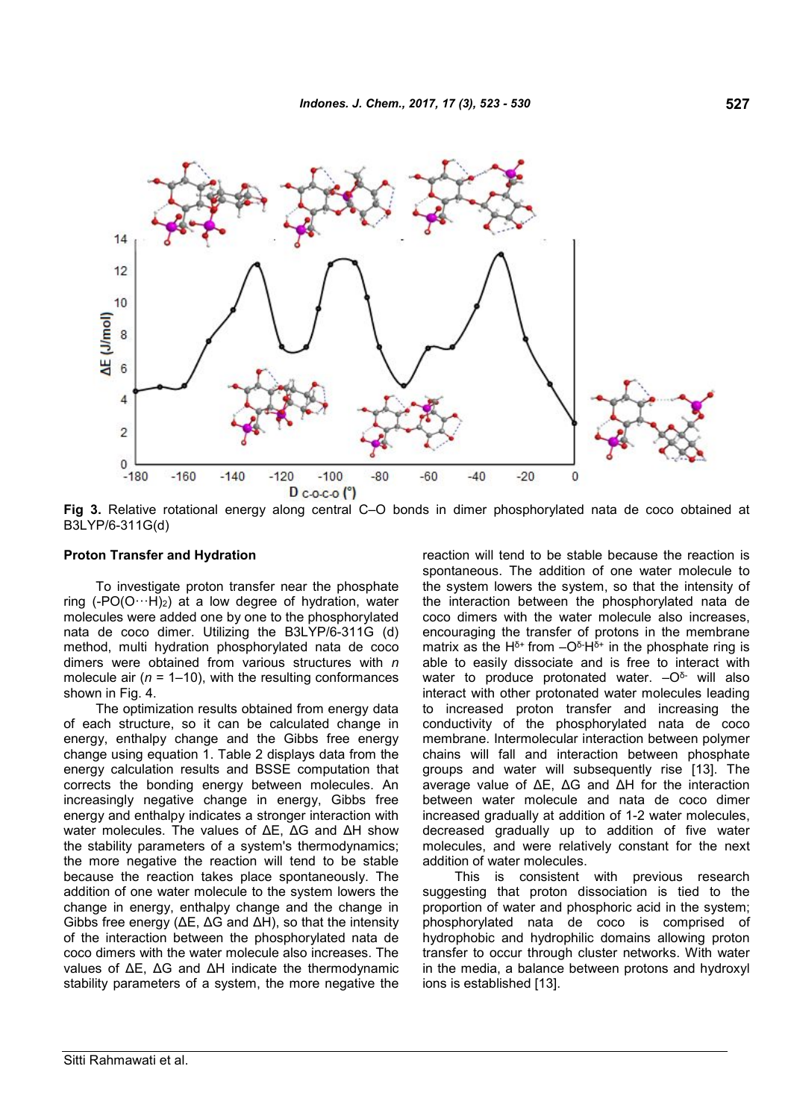

**Fig 3.** Relative rotational energy along central C–O bonds in dimer phosphorylated nata de coco obtained at B3LYP/6-311G(d)

#### **Proton Transfer and Hydration**

To investigate proton transfer near the phosphate ring  $(-PO(O \cdots H)_2)$  at a low degree of hydration, water molecules were added one by one to the phosphorylated nata de coco dimer. Utilizing the B3LYP/6-311G (d) method, multi hydration phosphorylated nata de coco dimers were obtained from various structures with *n* molecule air (*n* = 1–10), with the resulting conformances shown in Fig. 4.

The optimization results obtained from energy data of each structure, so it can be calculated change in energy, enthalpy change and the Gibbs free energy change using equation 1. Table 2 displays data from the energy calculation results and BSSE computation that corrects the bonding energy between molecules. An increasingly negative change in energy, Gibbs free energy and enthalpy indicates a stronger interaction with water molecules. The values of ΔE, ΔG and ΔH show the stability parameters of a system's thermodynamics; the more negative the reaction will tend to be stable because the reaction takes place spontaneously. The addition of one water molecule to the system lowers the change in energy, enthalpy change and the change in Gibbs free energy (ΔE, ΔG and ΔH), so that the intensity of the interaction between the phosphorylated nata de coco dimers with the water molecule also increases. The values of ΔE, ΔG and ΔH indicate the thermodynamic stability parameters of a system, the more negative the reaction will tend to be stable because the reaction is spontaneous. The addition of one water molecule to the system lowers the system, so that the intensity of the interaction between the phosphorylated nata de coco dimers with the water molecule also increases, encouraging the transfer of protons in the membrane matrix as the H<sup> $\delta$ +</sup> from  $-\mathrm{O}^{\delta}$ -H $^{\delta}$ + in the phosphate ring is able to easily dissociate and is free to interact with water to produce protonated water.  $-O^{\delta}$ - will also interact with other protonated water molecules leading to increased proton transfer and increasing the conductivity of the phosphorylated nata de coco membrane. Intermolecular interaction between polymer chains will fall and interaction between phosphate groups and water will subsequently rise [13]. The average value of ΔE, ΔG and ΔH for the interaction between water molecule and nata de coco dimer increased gradually at addition of 1-2 water molecules, decreased gradually up to addition of five water molecules, and were relatively constant for the next addition of water molecules.

This is consistent with previous research suggesting that proton dissociation is tied to the proportion of water and phosphoric acid in the system; phosphorylated nata de coco is comprised of hydrophobic and hydrophilic domains allowing proton transfer to occur through cluster networks. With water in the media, a balance between protons and hydroxyl ions is established [13].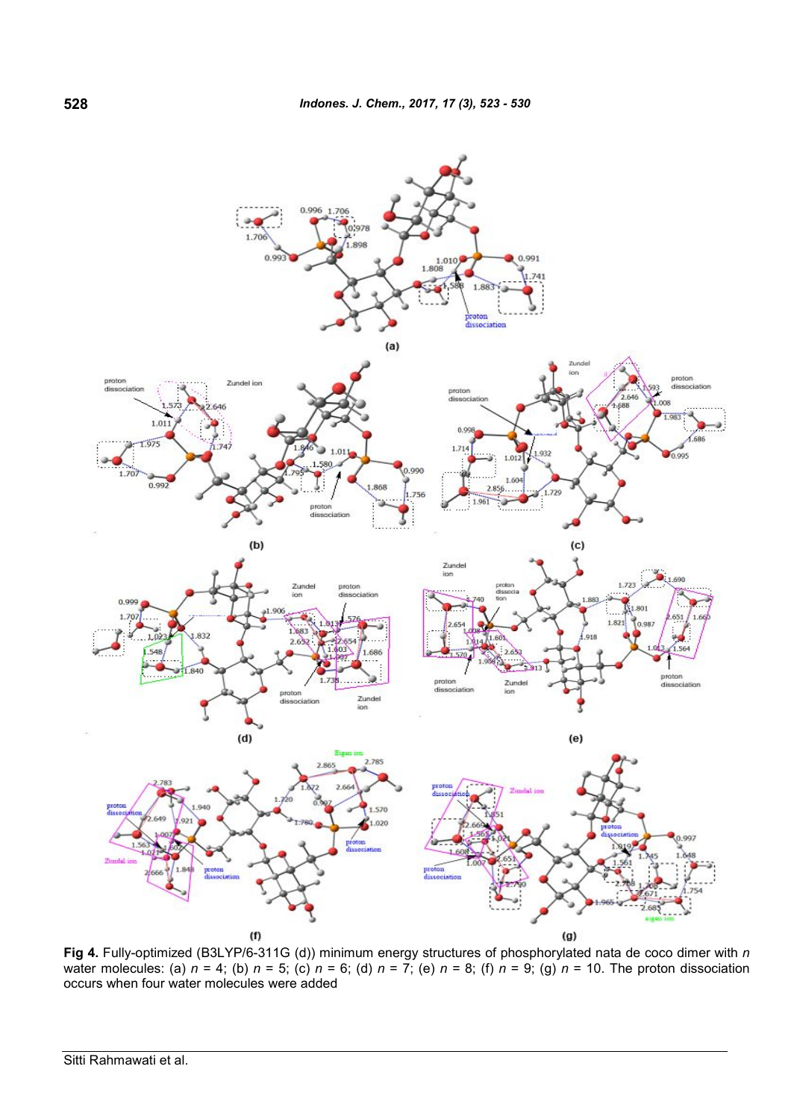

**Fig 4.** Fully-optimized (B3LYP/6-311G (d)) minimum energy structures of phosphorylated nata de coco dimer with *n* water molecules: (a) *n* = 4; (b) *n* = 5; (c) *n* = 6; (d) *n* = 7; (e) *n* = 8; (f) *n* = 9; (g) *n* = 10. The proton dissociation occurs when four water molecules were added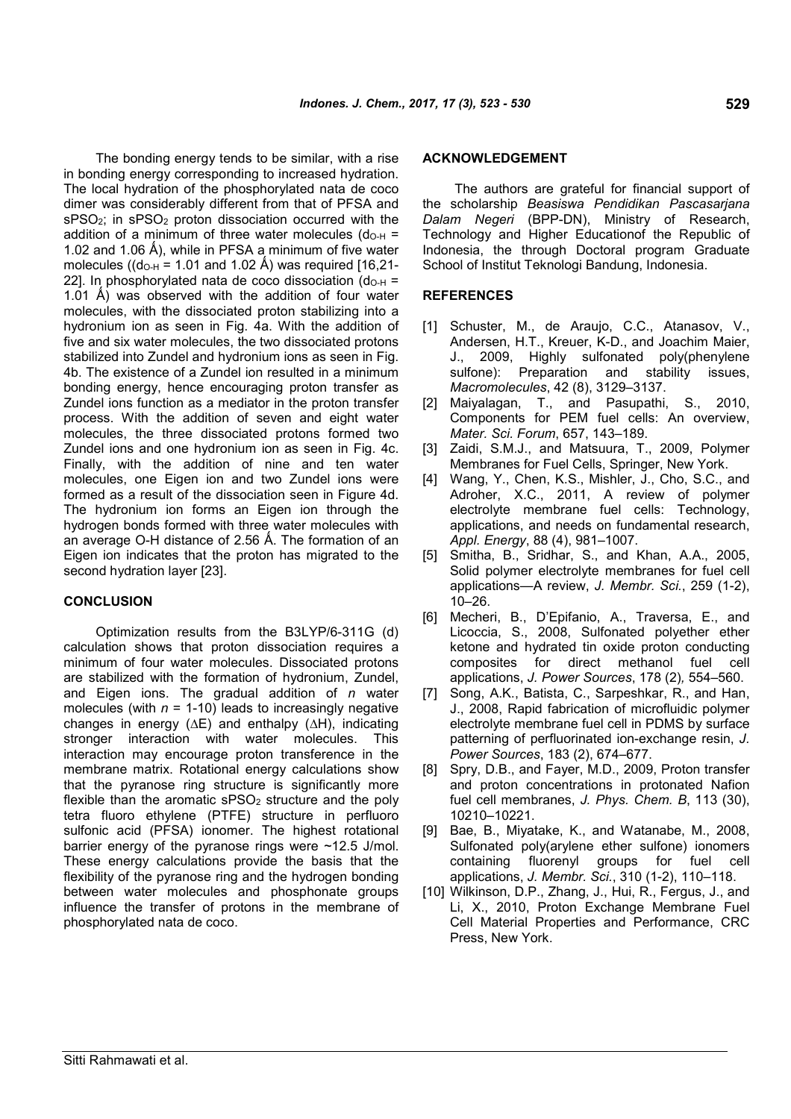The bonding energy tends to be similar, with a rise in bonding energy corresponding to increased hydration. The local hydration of the phosphorylated nata de coco dimer was considerably different from that of PFSA and sPSO<sub>2</sub>; in sPSO<sub>2</sub> proton dissociation occurred with the addition of a minimum of three water molecules  $(d<sub>O-H</sub> =$ 1.02 and 1.06 Å), while in PFSA a minimum of five water molecules (( $d_{O-H}$  = 1.01 and 1.02 Å) was required [16,21-22]. In phosphorylated nata de coco dissociation ( $d_{O-H}$  = 1.01 Å) was observed with the addition of four water molecules, with the dissociated proton stabilizing into a hydronium ion as seen in Fig. 4a. With the addition of five and six water molecules, the two dissociated protons stabilized into Zundel and hydronium ions as seen in Fig. 4b. The existence of a Zundel ion resulted in a minimum bonding energy, hence encouraging proton transfer as Zundel ions function as a mediator in the proton transfer process. With the addition of seven and eight water molecules, the three dissociated protons formed two Zundel ions and one hydronium ion as seen in Fig. 4c. Finally, with the addition of nine and ten water molecules, one Eigen ion and two Zundel ions were formed as a result of the dissociation seen in Figure 4d. The hydronium ion forms an Eigen ion through the hydrogen bonds formed with three water molecules with an average O-H distance of 2.56 Å. The formation of an Eigen ion indicates that the proton has migrated to the second hydration layer [23].

## **CONCLUSION**

Optimization results from the B3LYP/6-311G (d) calculation shows that proton dissociation requires a minimum of four water molecules. Dissociated protons are stabilized with the formation of hydronium, Zundel, and Eigen ions. The gradual addition of *n* water molecules (with  $n = 1-10$ ) leads to increasingly negative changes in energy (*∆*E) and enthalpy (∆H), indicating stronger interaction with water molecules. This interaction may encourage proton transference in the membrane matrix. Rotational energy calculations show that the pyranose ring structure is significantly more flexible than the aromatic  $sPSO<sub>2</sub>$  structure and the poly tetra fluoro ethylene (PTFE) structure in perfluoro sulfonic acid (PFSA) ionomer. The highest rotational barrier energy of the pyranose rings were ~12.5 J/mol. These energy calculations provide the basis that the flexibility of the pyranose ring and the hydrogen bonding between water molecules and phosphonate groups influence the transfer of protons in the membrane of phosphorylated nata de coco.

## **ACKNOWLEDGEMENT**

The authors are grateful for financial support of the scholarship *Beasiswa Pendidikan Pascasarjana Dalam Negeri* (BPP-DN), Ministry of Research, Technology and Higher Educationof the Republic of Indonesia, the through Doctoral program Graduate School of Institut Teknologi Bandung, Indonesia.

#### **REFERENCES**

- [1] Schuster, M., de Araujo, C.C., Atanasov, V., Andersen, H.T., Kreuer, K-D., and Joachim Maier, J., 2009, Highly sulfonated poly(phenylene sulfone): Preparation and stability issues, *Macromolecules*, 42 (8), 3129–3137.
- [2] Maiyalagan, T., and Pasupathi, S., 2010, Components for PEM fuel cells: An overview, *Mater. Sci. Forum*, 657, 143–189.
- [3] Zaidi, S.M.J., and Matsuura, T., 2009, Polymer Membranes for Fuel Cells, Springer, New York.
- [4] Wang, Y., Chen, K.S., Mishler, J., Cho, S.C., and Adroher, X.C., 2011, A review of polymer electrolyte membrane fuel cells: Technology, applications, and needs on fundamental research, *Appl. Energy*, 88 (4), 981–1007.
- [5] Smitha, B., Sridhar, S., and Khan, A.A., 2005, Solid polymer electrolyte membranes for fuel cell applications—A review, *J. Membr. Sci.*, 259 (1-2),  $10-26$ .
- [6] Mecheri, B., D'Epifanio, A., Traversa, E., and Licoccia, S., 2008, Sulfonated polyether ether ketone and hydrated tin oxide proton conducting composites for direct methanol fuel cell applications, *J. Power Sources*, 178 (2)*,* 554–560.
- [7] Song, A.K., Batista, C., Sarpeshkar, R., and Han, J., 2008, Rapid fabrication of microfluidic polymer electrolyte membrane fuel cell in PDMS by surface patterning of perfluorinated ion-exchange resin, *J. Power Sources*, 183 (2), 674–677.
- [8] Spry, D.B., and Fayer, M.D., 2009, Proton transfer and proton concentrations in protonated Nafion fuel cell membranes, *J. Phys. Chem. B*, 113 (30), 10210–10221.
- [9] Bae, B., Miyatake, K., and Watanabe, M., 2008, Sulfonated poly(arylene ether sulfone) ionomers containing fluorenyl groups for fuel cell applications, *J. Membr. Sci.*, 310 (1-2), 110–118.
- [10] Wilkinson, D.P., Zhang, J., Hui, R., Fergus, J., and Li, X., 2010, Proton Exchange Membrane Fuel Cell Material Properties and Performance, CRC Press, New York.